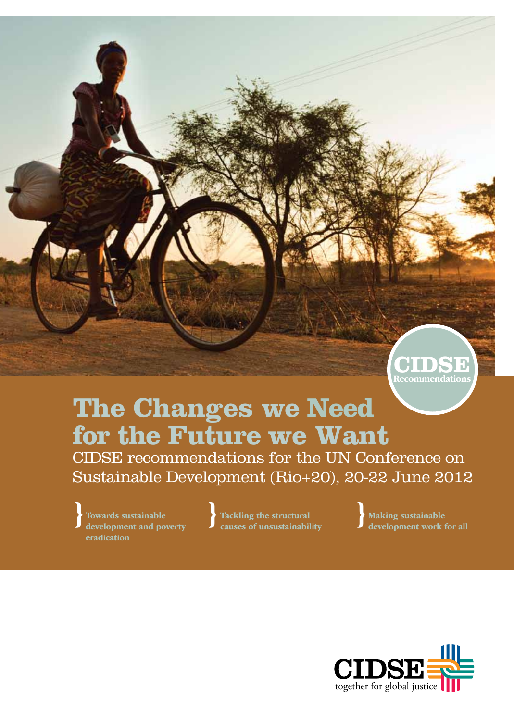

# **The Changes we Need for the Future we Want**

CIDSE recommendations for the UN Conference on Sustainable Development (Rio+20), 20-22 June 2012

Towards sustainable<br>development and poverty eradication

 Tackling the structural causes of unsustainability Making sustainable development work for all

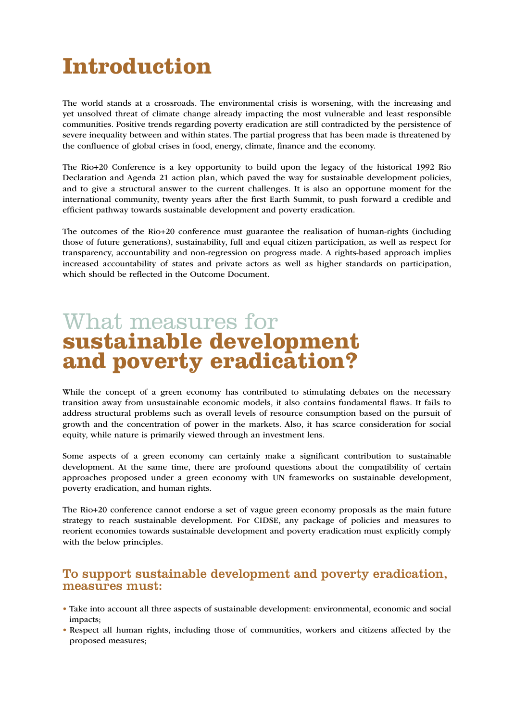## **Introduction**

The world stands at a crossroads. The environmental crisis is worsening, with the increasing and yet unsolved threat of climate change already impacting the most vulnerable and least responsible communities. Positive trends regarding poverty eradication are still contradicted by the persistence of severe inequality between and within states. The partial progress that has been made is threatened by the confluence of global crises in food, energy, climate, finance and the economy.

The Rio+20 Conference is a key opportunity to build upon the legacy of the historical 1992 Rio Declaration and Agenda 21 action plan, which paved the way for sustainable development policies, and to give a structural answer to the current challenges. It is also an opportune moment for the international community, twenty years after the first Earth Summit, to push forward a credible and efficient pathway towards sustainable development and poverty eradication.

The outcomes of the Rio+20 conference must guarantee the realisation of human-rights (including those of future generations), sustainability, full and equal citizen participation, as well as respect for transparency, accountability and non-regression on progress made. A rights-based approach implies increased accountability of states and private actors as well as higher standards on participation, which should be reflected in the Outcome Document.

### What measures for **sustainable development and poverty eradication?**

While the concept of a green economy has contributed to stimulating debates on the necessary transition away from unsustainable economic models, it also contains fundamental flaws. It fails to address structural problems such as overall levels of resource consumption based on the pursuit of growth and the concentration of power in the markets. Also, it has scarce consideration for social equity, while nature is primarily viewed through an investment lens.

Some aspects of a green economy can certainly make a significant contribution to sustainable development. At the same time, there are profound questions about the compatibility of certain approaches proposed under a green economy with UN frameworks on sustainable development, poverty eradication, and human rights.

The Rio+20 conference cannot endorse a set of vague green economy proposals as the main future strategy to reach sustainable development. For CIDSE, any package of policies and measures to reorient economies towards sustainable development and poverty eradication must explicitly comply with the below principles.

#### To support sustainable development and poverty eradication, measures must:

- Take into account all three aspects of sustainable development: environmental, economic and social impacts;
- Respect all human rights, including those of communities, workers and citizens affected by the proposed measures;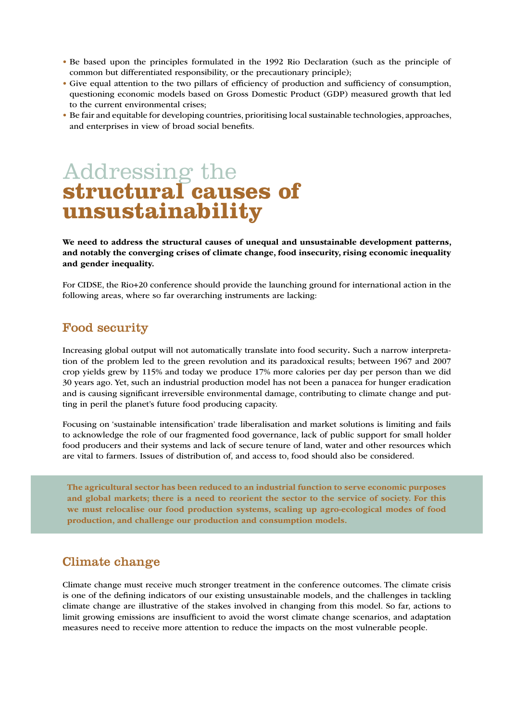- Be based upon the principles formulated in the 1992 Rio Declaration (such as the principle of common but differentiated responsibility, or the precautionary principle);
- Give equal attention to the two pillars of efficiency of production and sufficiency of consumption, questioning economic models based on Gross Domestic Product (GDP) measured growth that led to the current environmental crises;
- Be fair and equitable for developing countries, prioritising local sustainable technologies, approaches, and enterprises in view of broad social benefits.

## Addressing the **structural causes of unsustainability**

We need to address the structural causes of unequal and unsustainable development patterns, and notably the converging crises of climate change, food insecurity, rising economic inequality and gender inequality.

For CIDSE, the Rio+20 conference should provide the launching ground for international action in the following areas, where so far overarching instruments are lacking:

#### Food security

Increasing global output will not automatically translate into food security. Such a narrow interpretation of the problem led to the green revolution and its paradoxical results; between 1967 and 2007 crop yields grew by 115% and today we produce 17% more calories per day per person than we did 30 years ago. Yet, such an industrial production model has not been a panacea for hunger eradication and is causing significant irreversible environmental damage, contributing to climate change and putting in peril the planet's future food producing capacity.

Focusing on 'sustainable intensification' trade liberalisation and market solutions is limiting and fails to acknowledge the role of our fragmented food governance, lack of public support for small holder food producers and their systems and lack of secure tenure of land, water and other resources which are vital to farmers. Issues of distribution of, and access to, food should also be considered.

The agricultural sector has been reduced to an industrial function to serve economic purposes and global markets; there is a need to reorient the sector to the service of society. For this we must relocalise our food production systems, scaling up agro-ecological modes of food production, and challenge our production and consumption models.

#### Climate change

Climate change must receive much stronger treatment in the conference outcomes. The climate crisis is one of the defining indicators of our existing unsustainable models, and the challenges in tackling climate change are illustrative of the stakes involved in changing from this model. So far, actions to limit growing emissions are insufficient to avoid the worst climate change scenarios, and adaptation measures need to receive more attention to reduce the impacts on the most vulnerable people.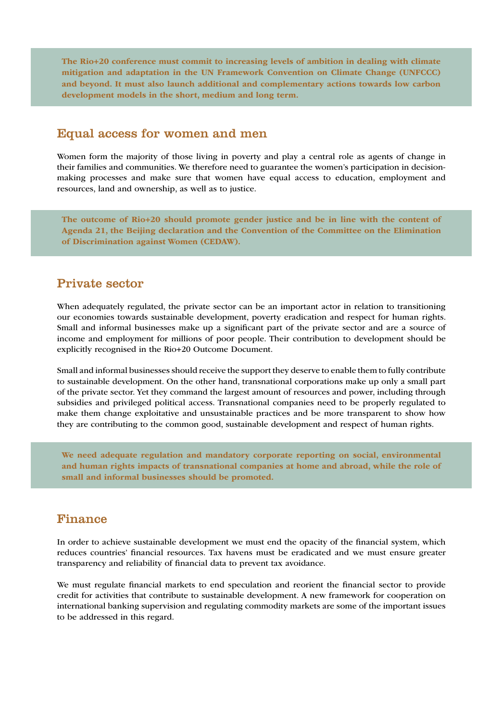The Rio+20 conference must commit to increasing levels of ambition in dealing with climate mitigation and adaptation in the UN Framework Convention on Climate Change (UNFCCC) and beyond. It must also launch additional and complementary actions towards low carbon development models in the short, medium and long term.

#### Equal access for women and men

Women form the majority of those living in poverty and play a central role as agents of change in their families and communities. We therefore need to guarantee the women's participation in decisionmaking processes and make sure that women have equal access to education, employment and resources, land and ownership, as well as to justice.

The outcome of Rio+20 should promote gender justice and be in line with the content of Agenda 21, the Beijing declaration and the Convention of the Committee on the Elimination of Discrimination against Women (CEDAW).

#### Private sector

When adequately regulated, the private sector can be an important actor in relation to transitioning our economies towards sustainable development, poverty eradication and respect for human rights. Small and informal businesses make up a significant part of the private sector and are a source of income and employment for millions of poor people. Their contribution to development should be explicitly recognised in the Rio+20 Outcome Document.

Small and informal businesses should receive the support they deserve to enable them to fully contribute to sustainable development. On the other hand, transnational corporations make up only a small part of the private sector. Yet they command the largest amount of resources and power, including through subsidies and privileged political access. Transnational companies need to be properly regulated to make them change exploitative and unsustainable practices and be more transparent to show how they are contributing to the common good, sustainable development and respect of human rights.

We need adequate regulation and mandatory corporate reporting on social, environmental and human rights impacts of transnational companies at home and abroad, while the role of small and informal businesses should be promoted.

#### Finance

In order to achieve sustainable development we must end the opacity of the financial system, which reduces countries' financial resources. Tax havens must be eradicated and we must ensure greater transparency and reliability of financial data to prevent tax avoidance.

We must regulate financial markets to end speculation and reorient the financial sector to provide credit for activities that contribute to sustainable development. A new framework for cooperation on international banking supervision and regulating commodity markets are some of the important issues to be addressed in this regard.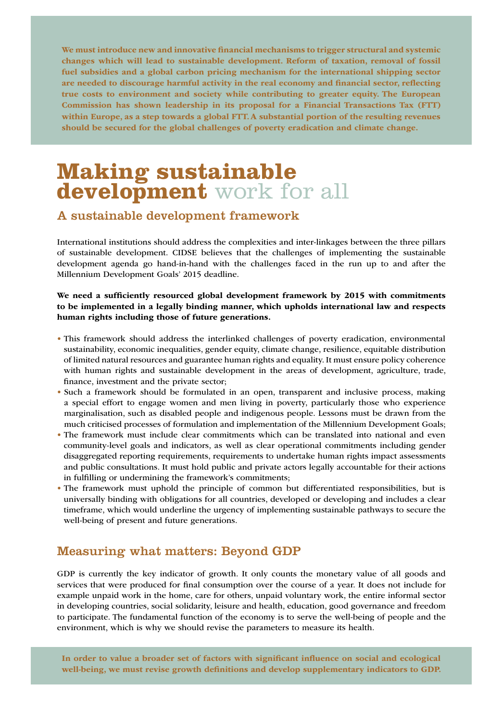We must introduce new and innovative financial mechanisms to trigger structural and systemic changes which will lead to sustainable development. Reform of taxation, removal of fossil fuel subsidies and a global carbon pricing mechanism for the international shipping sector are needed to discourage harmful activity in the real economy and financial sector, reflecting true costs to environment and society while contributing to greater equity. The European Commission has shown leadership in its proposal for a Financial Transactions Tax (FTT) within Europe, as a step towards a global FTT. A substantial portion of the resulting revenues should be secured for the global challenges of poverty eradication and climate change.

### **Making sustainable development** work for all

#### A sustainable development framework

International institutions should address the complexities and inter-linkages between the three pillars of sustainable development. CIDSE believes that the challenges of implementing the sustainable development agenda go hand-in-hand with the challenges faced in the run up to and after the Millennium Development Goals' 2015 deadline.

#### We need a sufficiently resourced global development framework by 2015 with commitments to be implemented in a legally binding manner, which upholds international law and respects human rights including those of future generations.

- This framework should address the interlinked challenges of poverty eradication, environmental sustainability, economic inequalities, gender equity, climate change, resilience, equitable distribution of limited natural resources and guarantee human rights and equality. It must ensure policy coherence with human rights and sustainable development in the areas of development, agriculture, trade, finance, investment and the private sector;
- Such a framework should be formulated in an open, transparent and inclusive process, making a special effort to engage women and men living in poverty, particularly those who experience marginalisation, such as disabled people and indigenous people. Lessons must be drawn from the much criticised processes of formulation and implementation of the Millennium Development Goals;
- The framework must include clear commitments which can be translated into national and even community-level goals and indicators, as well as clear operational commitments including gender disaggregated reporting requirements, requirements to undertake human rights impact assessments and public consultations. It must hold public and private actors legally accountable for their actions in fulfilling or undermining the framework's commitments;
- The framework must uphold the principle of common but differentiated responsibilities, but is universally binding with obligations for all countries, developed or developing and includes a clear timeframe, which would underline the urgency of implementing sustainable pathways to secure the well-being of present and future generations.

### Measuring what matters: Beyond GDP

GDP is currently the key indicator of growth. It only counts the monetary value of all goods and services that were produced for final consumption over the course of a year. It does not include for example unpaid work in the home, care for others, unpaid voluntary work, the entire informal sector in developing countries, social solidarity, leisure and health, education, good governance and freedom to participate. The fundamental function of the economy is to serve the well-being of people and the environment, which is why we should revise the parameters to measure its health.

In order to value a broader set of factors with significant influence on social and ecological well-being, we must revise growth definitions and develop supplementary indicators to GDP.